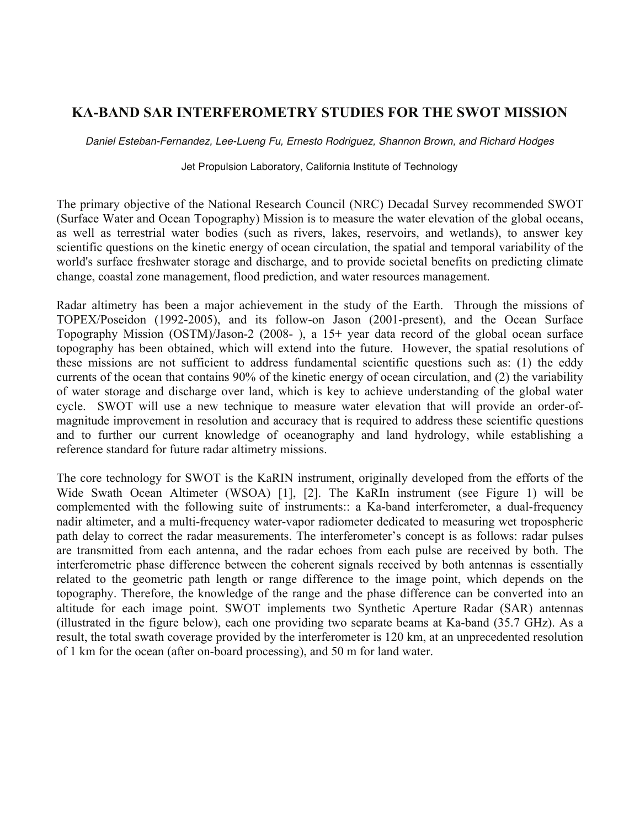## **KA-BAND SAR INTERFEROMETRY STUDIES FOR THE SWOT MISSION**

*Daniel Esteban-Fernandez, Lee-Lueng Fu, Ernesto Rodriguez, Shannon Brown, and Richard Hodges* 

## Jet Propulsion Laboratory, California Institute of Technology

The primary objective of the National Research Council (NRC) Decadal Survey recommended SWOT (Surface Water and Ocean Topography) Mission is to measure the water elevation of the global oceans, as well as terrestrial water bodies (such as rivers, lakes, reservoirs, and wetlands), to answer key scientific questions on the kinetic energy of ocean circulation, the spatial and temporal variability of the world's surface freshwater storage and discharge, and to provide societal benefits on predicting climate change, coastal zone management, flood prediction, and water resources management.

Radar altimetry has been a major achievement in the study of the Earth. Through the missions of TOPEX/Poseidon (1992-2005), and its follow-on Jason (2001-present), and the Ocean Surface Topography Mission (OSTM)/Jason-2 (2008- ), a 15+ year data record of the global ocean surface topography has been obtained, which will extend into the future. However, the spatial resolutions of these missions are not sufficient to address fundamental scientific questions such as: (1) the eddy currents of the ocean that contains 90% of the kinetic energy of ocean circulation, and (2) the variability of water storage and discharge over land, which is key to achieve understanding of the global water cycle. SWOT will use a new technique to measure water elevation that will provide an order-ofmagnitude improvement in resolution and accuracy that is required to address these scientific questions and to further our current knowledge of oceanography and land hydrology, while establishing a reference standard for future radar altimetry missions.

The core technology for SWOT is the KaRIN instrument, originally developed from the efforts of the Wide Swath Ocean Altimeter (WSOA) [1], [2]. The KaRIn instrument (see Figure 1) will be complemented with the following suite of instruments:: a Ka-band interferometer, a dual-frequency nadir altimeter, and a multi-frequency water-vapor radiometer dedicated to measuring wet tropospheric path delay to correct the radar measurements. The interferometer's concept is as follows: radar pulses are transmitted from each antenna, and the radar echoes from each pulse are received by both. The interferometric phase difference between the coherent signals received by both antennas is essentially related to the geometric path length or range difference to the image point, which depends on the topography. Therefore, the knowledge of the range and the phase difference can be converted into an altitude for each image point. SWOT implements two Synthetic Aperture Radar (SAR) antennas (illustrated in the figure below), each one providing two separate beams at Ka-band (35.7 GHz). As a result, the total swath coverage provided by the interferometer is 120 km, at an unprecedented resolution of 1 km for the ocean (after on-board processing), and 50 m for land water.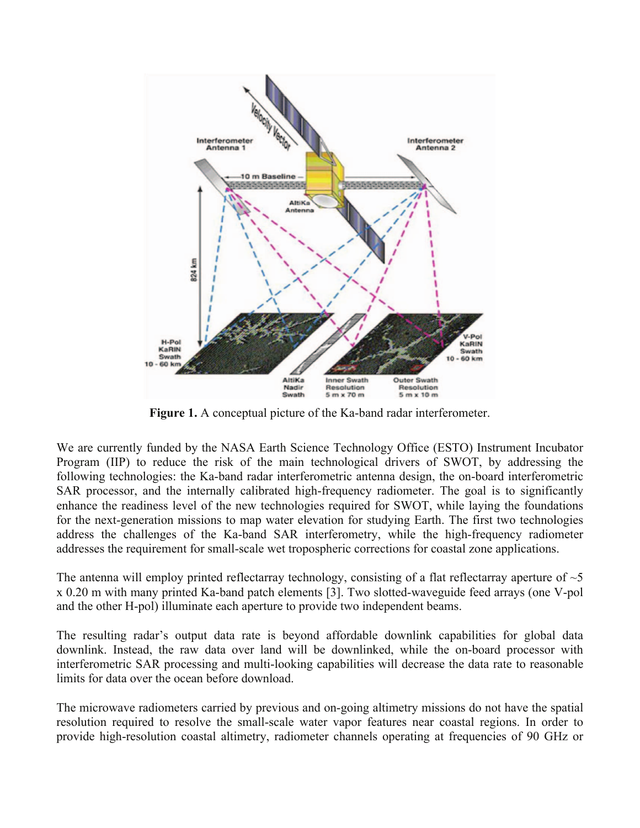

**Figure 1.** A conceptual picture of the Ka-band radar interferometer.

We are currently funded by the NASA Earth Science Technology Office (ESTO) Instrument Incubator Program (IIP) to reduce the risk of the main technological drivers of SWOT, by addressing the following technologies: the Ka-band radar interferometric antenna design, the on-board interferometric SAR processor, and the internally calibrated high-frequency radiometer. The goal is to significantly enhance the readiness level of the new technologies required for SWOT, while laying the foundations for the next-generation missions to map water elevation for studying Earth. The first two technologies address the challenges of the Ka-band SAR interferometry, while the high-frequency radiometer addresses the requirement for small-scale wet tropospheric corrections for coastal zone applications.

The antenna will employ printed reflectarray technology, consisting of a flat reflectarray aperture of  $\sim$ 5 x 0.20 m with many printed Ka-band patch elements [3]. Two slotted-waveguide feed arrays (one V-pol and the other H-pol) illuminate each aperture to provide two independent beams.

The resulting radar's output data rate is beyond affordable downlink capabilities for global data downlink. Instead, the raw data over land will be downlinked, while the on-board processor with interferometric SAR processing and multi-looking capabilities will decrease the data rate to reasonable limits for data over the ocean before download.

The microwave radiometers carried by previous and on-going altimetry missions do not have the spatial resolution required to resolve the small-scale water vapor features near coastal regions. In order to provide high-resolution coastal altimetry, radiometer channels operating at frequencies of 90 GHz or